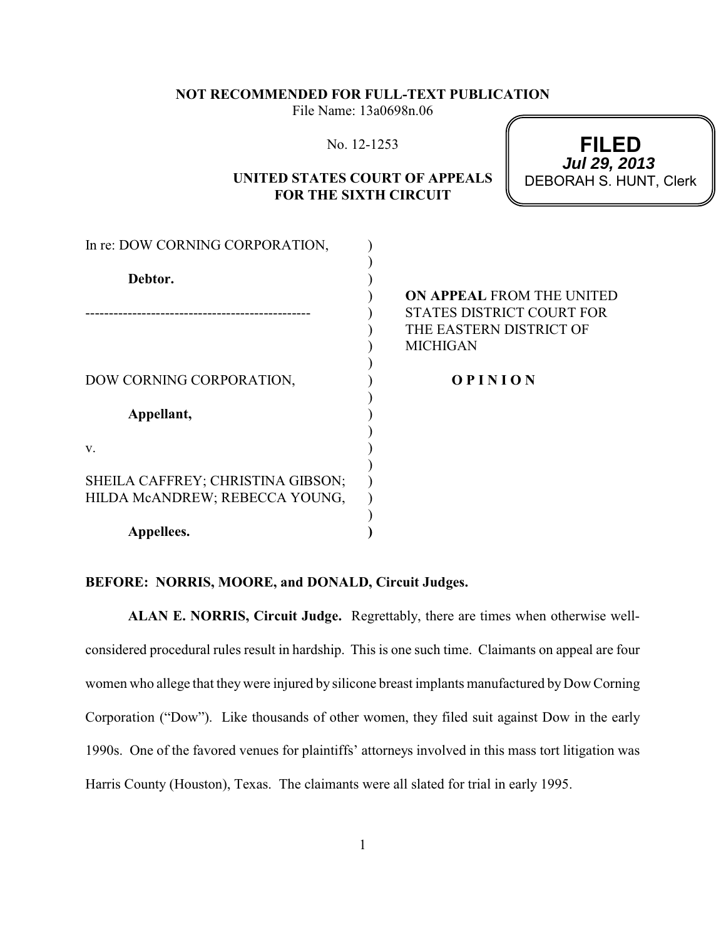## **NOT RECOMMENDED FOR FULL-TEXT PUBLICATION**

File Name: 13a0698n.06

|  | No. 12-1253 |
|--|-------------|
|--|-------------|

## **UNITED STATES COURT OF APPEALS FOR THE SIXTH CIRCUIT**

**FILED** DEBORAH S. HUNT, Clerk **Jul 29, 2013**

| In re: DOW CORNING CORPORATION,                                     |                                                                                                                    |
|---------------------------------------------------------------------|--------------------------------------------------------------------------------------------------------------------|
| Debtor.                                                             | <b>ON APPEAL FROM THE UNITED</b><br><b>STATES DISTRICT COURT FOR</b><br>THE EASTERN DISTRICT OF<br><b>MICHIGAN</b> |
| DOW CORNING CORPORATION,<br>Appellant,                              | <b>OPINION</b>                                                                                                     |
| V.                                                                  |                                                                                                                    |
| SHEILA CAFFREY; CHRISTINA GIBSON;<br>HILDA MCANDREW; REBECCA YOUNG, |                                                                                                                    |
| Appellees.                                                          |                                                                                                                    |

## **BEFORE: NORRIS, MOORE, and DONALD, Circuit Judges.**

**ALAN E. NORRIS, Circuit Judge.** Regrettably, there are times when otherwise wellconsidered procedural rules result in hardship. This is one such time. Claimants on appeal are four women who allege that they were injured by silicone breast implants manufactured byDow Corning Corporation ("Dow"). Like thousands of other women, they filed suit against Dow in the early 1990s. One of the favored venues for plaintiffs' attorneys involved in this mass tort litigation was Harris County (Houston), Texas. The claimants were all slated for trial in early 1995.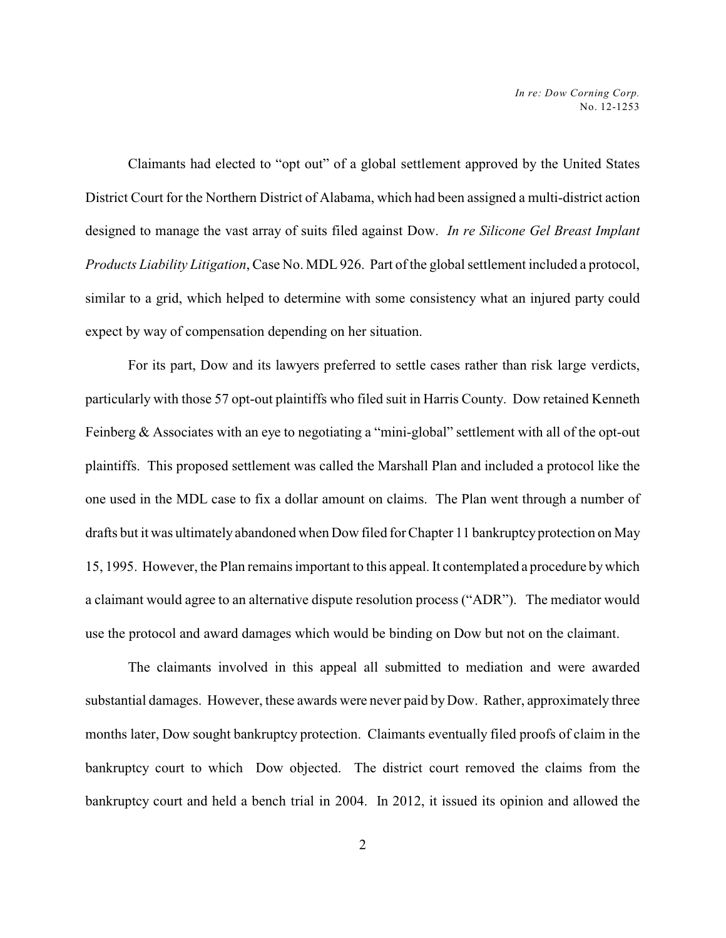Claimants had elected to "opt out" of a global settlement approved by the United States District Court for the Northern District of Alabama, which had been assigned a multi-district action designed to manage the vast array of suits filed against Dow. *In re Silicone Gel Breast Implant Products Liability Litigation*, Case No. MDL 926. Part of the global settlement included a protocol, similar to a grid, which helped to determine with some consistency what an injured party could expect by way of compensation depending on her situation.

For its part, Dow and its lawyers preferred to settle cases rather than risk large verdicts, particularly with those 57 opt-out plaintiffs who filed suit in Harris County. Dow retained Kenneth Feinberg & Associates with an eye to negotiating a "mini-global" settlement with all of the opt-out plaintiffs. This proposed settlement was called the Marshall Plan and included a protocol like the one used in the MDL case to fix a dollar amount on claims. The Plan went through a number of drafts but it was ultimately abandoned when Dow filed for Chapter 11 bankruptcy protection on May 15, 1995. However, the Plan remains important to this appeal. It contemplated a procedure bywhich a claimant would agree to an alternative dispute resolution process ("ADR"). The mediator would use the protocol and award damages which would be binding on Dow but not on the claimant.

The claimants involved in this appeal all submitted to mediation and were awarded substantial damages. However, these awards were never paid by Dow. Rather, approximately three months later, Dow sought bankruptcy protection. Claimants eventually filed proofs of claim in the bankruptcy court to which Dow objected. The district court removed the claims from the bankruptcy court and held a bench trial in 2004. In 2012, it issued its opinion and allowed the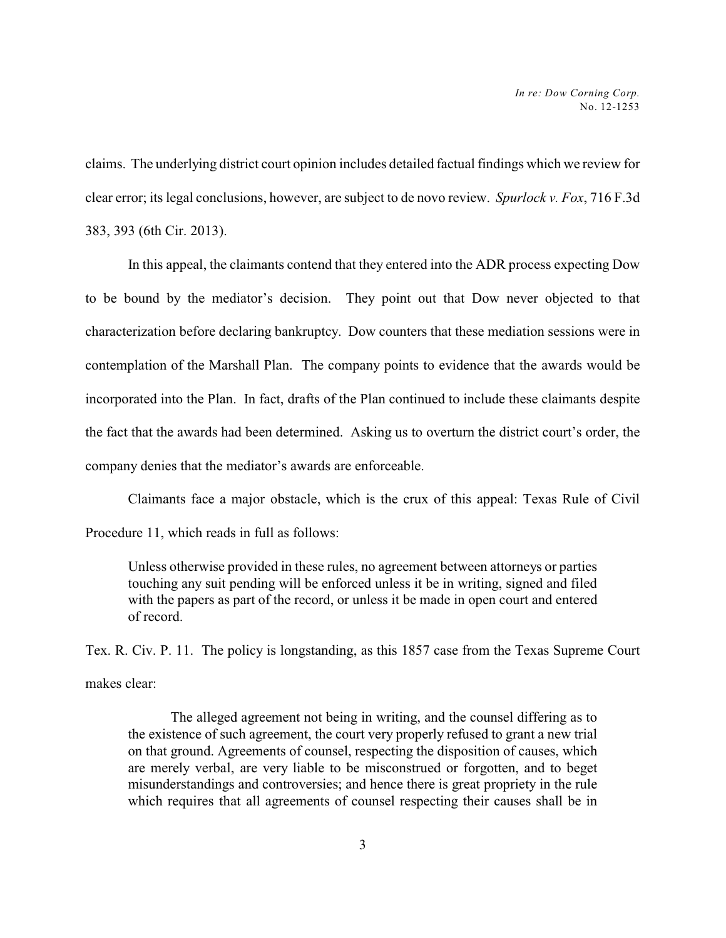claims. The underlying district court opinion includes detailed factual findings which we review for clear error; its legal conclusions, however, are subject to de novo review. *Spurlock v. Fox*, 716 F.3d 383, 393 (6th Cir. 2013).

In this appeal, the claimants contend that they entered into the ADR process expecting Dow to be bound by the mediator's decision. They point out that Dow never objected to that characterization before declaring bankruptcy. Dow counters that these mediation sessions were in contemplation of the Marshall Plan. The company points to evidence that the awards would be incorporated into the Plan. In fact, drafts of the Plan continued to include these claimants despite the fact that the awards had been determined. Asking us to overturn the district court's order, the company denies that the mediator's awards are enforceable.

Claimants face a major obstacle, which is the crux of this appeal: Texas Rule of Civil

Procedure 11, which reads in full as follows:

Unless otherwise provided in these rules, no agreement between attorneys or parties touching any suit pending will be enforced unless it be in writing, signed and filed with the papers as part of the record, or unless it be made in open court and entered of record.

Tex. R. Civ. P. 11. The policy is longstanding, as this 1857 case from the Texas Supreme Court makes clear:

The alleged agreement not being in writing, and the counsel differing as to the existence of such agreement, the court very properly refused to grant a new trial on that ground. Agreements of counsel, respecting the disposition of causes, which are merely verbal, are very liable to be misconstrued or forgotten, and to beget misunderstandings and controversies; and hence there is great propriety in the rule which requires that all agreements of counsel respecting their causes shall be in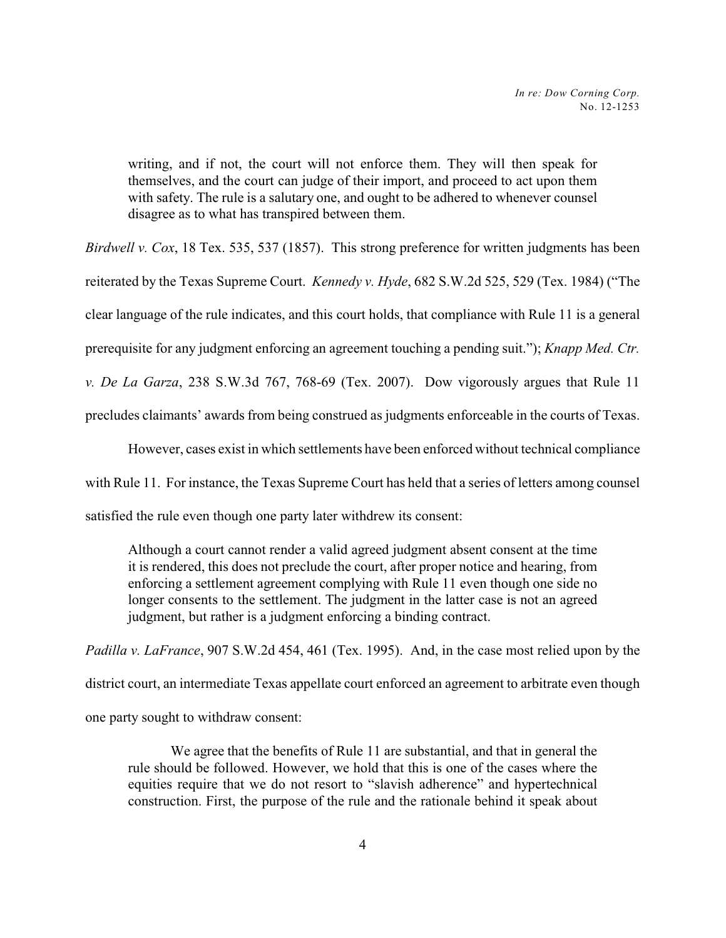writing, and if not, the court will not enforce them. They will then speak for themselves, and the court can judge of their import, and proceed to act upon them with safety. The rule is a salutary one, and ought to be adhered to whenever counsel disagree as to what has transpired between them.

*Birdwell v. Cox*, 18 Tex. 535, 537 (1857). This strong preference for written judgments has been

reiterated by the Texas Supreme Court. *Kennedy v. Hyde*, 682 S.W.2d 525, 529 (Tex. 1984) ("The

clear language of the rule indicates, and this court holds, that compliance with Rule 11 is a general

prerequisite for any judgment enforcing an agreement touching a pending suit."); *Knapp Med. Ctr.*

*v. De La Garza*, 238 S.W.3d 767, 768-69 (Tex. 2007). Dow vigorously argues that Rule 11

precludes claimants' awards from being construed as judgments enforceable in the courts of Texas.

However, cases exist in which settlements have been enforced without technical compliance with Rule 11. For instance, the Texas Supreme Court has held that a series of letters among counsel satisfied the rule even though one party later withdrew its consent:

Although a court cannot render a valid agreed judgment absent consent at the time it is rendered, this does not preclude the court, after proper notice and hearing, from enforcing a settlement agreement complying with Rule 11 even though one side no longer consents to the settlement. The judgment in the latter case is not an agreed judgment, but rather is a judgment enforcing a binding contract.

*Padilla v. LaFrance*, 907 S.W.2d 454, 461 (Tex. 1995). And, in the case most relied upon by the district court, an intermediate Texas appellate court enforced an agreement to arbitrate even though one party sought to withdraw consent:

We agree that the benefits of Rule 11 are substantial, and that in general the rule should be followed. However, we hold that this is one of the cases where the equities require that we do not resort to "slavish adherence" and hypertechnical construction. First, the purpose of the rule and the rationale behind it speak about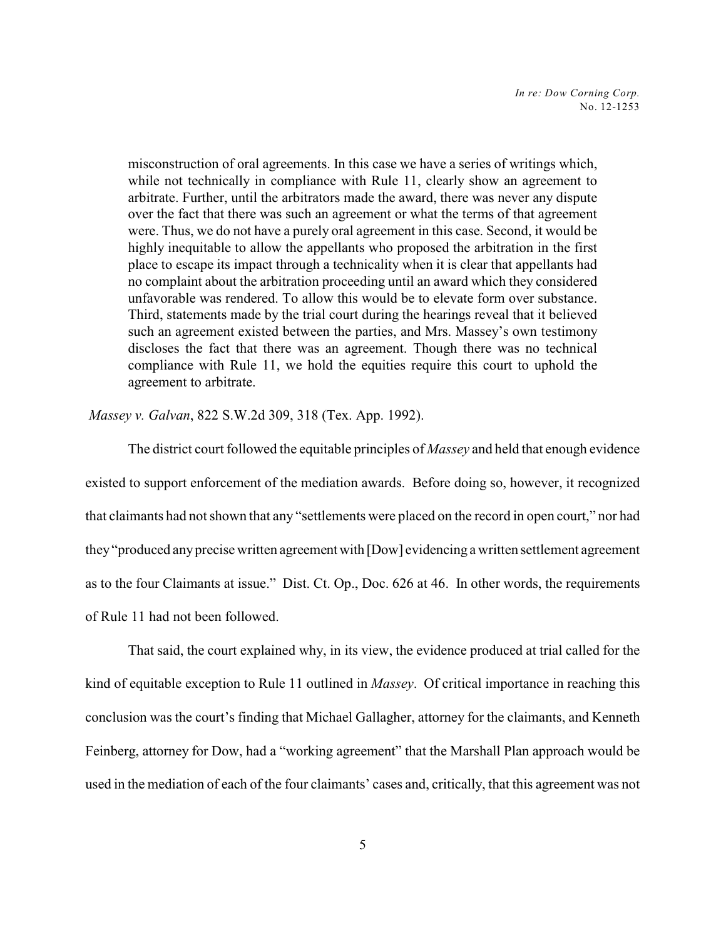misconstruction of oral agreements. In this case we have a series of writings which, while not technically in compliance with Rule 11, clearly show an agreement to arbitrate. Further, until the arbitrators made the award, there was never any dispute over the fact that there was such an agreement or what the terms of that agreement were. Thus, we do not have a purely oral agreement in this case. Second, it would be highly inequitable to allow the appellants who proposed the arbitration in the first place to escape its impact through a technicality when it is clear that appellants had no complaint about the arbitration proceeding until an award which they considered unfavorable was rendered. To allow this would be to elevate form over substance. Third, statements made by the trial court during the hearings reveal that it believed such an agreement existed between the parties, and Mrs. Massey's own testimony discloses the fact that there was an agreement. Though there was no technical compliance with Rule 11, we hold the equities require this court to uphold the agreement to arbitrate.

*Massey v. Galvan*, 822 S.W.2d 309, 318 (Tex. App. 1992).

The district court followed the equitable principles of *Massey* and held that enough evidence existed to support enforcement of the mediation awards. Before doing so, however, it recognized that claimants had not shown that any "settlements were placed on the record in open court," nor had they"produced anyprecise written agreement with [Dow] evidencing a written settlement agreement as to the four Claimants at issue." Dist. Ct. Op., Doc. 626 at 46. In other words, the requirements of Rule 11 had not been followed.

That said, the court explained why, in its view, the evidence produced at trial called for the kind of equitable exception to Rule 11 outlined in *Massey*. Of critical importance in reaching this conclusion was the court's finding that Michael Gallagher, attorney for the claimants, and Kenneth Feinberg, attorney for Dow, had a "working agreement" that the Marshall Plan approach would be used in the mediation of each of the four claimants' cases and, critically, that this agreement was not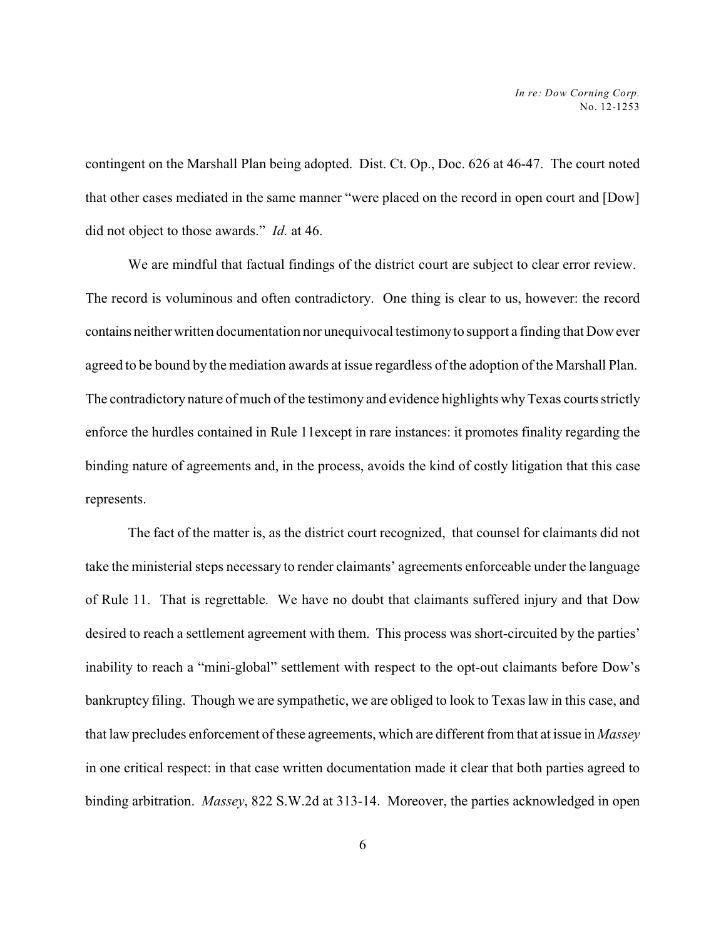contingent on the Marshall Plan being adopted. Dist. Ct. Op., Doc. 626 at 46-47. The court noted that other cases mediated in the same manner "were placed on the record in open court and [Dow] did not object to those awards." *Id.* at 46.

We are mindful that factual findings of the district court are subject to clear error review. The record is voluminous and often contradictory. One thing is clear to us, however: the record contains neitherwritten documentation nor unequivocal testimonyto support a finding that Dow ever agreed to be bound by the mediation awards at issue regardless of the adoption of the Marshall Plan. The contradictory nature of much of the testimony and evidence highlights whyTexas courts strictly enforce the hurdles contained in Rule 11except in rare instances: it promotes finality regarding the binding nature of agreements and, in the process, avoids the kind of costly litigation that this case represents.

The fact of the matter is, as the district court recognized, that counsel for claimants did not take the ministerial steps necessary to render claimants' agreements enforceable under the language of Rule 11. That is regrettable. We have no doubt that claimants suffered injury and that Dow desired to reach a settlement agreement with them. This process was short-circuited by the parties' inability to reach a "mini-global" settlement with respect to the opt-out claimants before Dow's bankruptcy filing. Though we are sympathetic, we are obliged to look to Texas law in this case, and that law precludes enforcement of these agreements, which are different from that at issue in *Massey* in one critical respect: in that case written documentation made it clear that both parties agreed to binding arbitration. *Massey*, 822 S.W.2d at 313-14. Moreover, the parties acknowledged in open